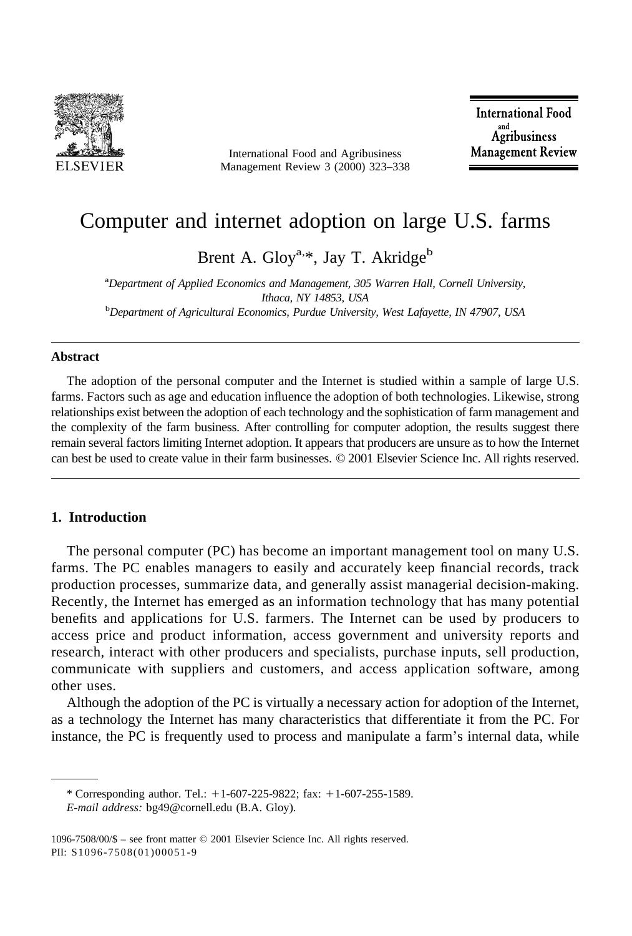

International Food and Agribusiness Management Review 3 (2000) 323–338

**International Food** Agribusiness **Management Review** 

# Computer and internet adoption on large U.S. farms

Brent A. Gloy<sup>a,\*</sup>, Jay T. Akridge<sup>b</sup>

a *Department of Applied Economics and Management, 305 Warren Hall, Cornell University, Ithaca, NY 14853, USA* <sup>b</sup> *Department of Agricultural Economics, Purdue University, West Lafayette, IN 47907, USA*

## **Abstract**

The adoption of the personal computer and the Internet is studied within a sample of large U.S. farms. Factors such as age and education influence the adoption of both technologies. Likewise, strong relationships exist between the adoption of each technology and the sophistication of farm management and the complexity of the farm business. After controlling for computer adoption, the results suggest there remain several factors limiting Internet adoption. It appears that producers are unsure as to how the Internet can best be used to create value in their farm businesses. © 2001 Elsevier Science Inc. All rights reserved.

# **1. Introduction**

The personal computer (PC) has become an important management tool on many U.S. farms. The PC enables managers to easily and accurately keep financial records, track production processes, summarize data, and generally assist managerial decision-making. Recently, the Internet has emerged as an information technology that has many potential benefits and applications for U.S. farmers. The Internet can be used by producers to access price and product information, access government and university reports and research, interact with other producers and specialists, purchase inputs, sell production, communicate with suppliers and customers, and access application software, among other uses.

Although the adoption of the PC is virtually a necessary action for adoption of the Internet, as a technology the Internet has many characteristics that differentiate it from the PC. For instance, the PC is frequently used to process and manipulate a farm's internal data, while

<sup>\*</sup> Corresponding author. Tel.:  $+1-607-225-9822$ ; fax:  $+1-607-255-1589$ . *E-mail address:* bg49@cornell.edu (B.A. Gloy).

<sup>1096-7508/00/\$ –</sup> see front matter © 2001 Elsevier Science Inc. All rights reserved. PII: S1096-7508(01)00051-9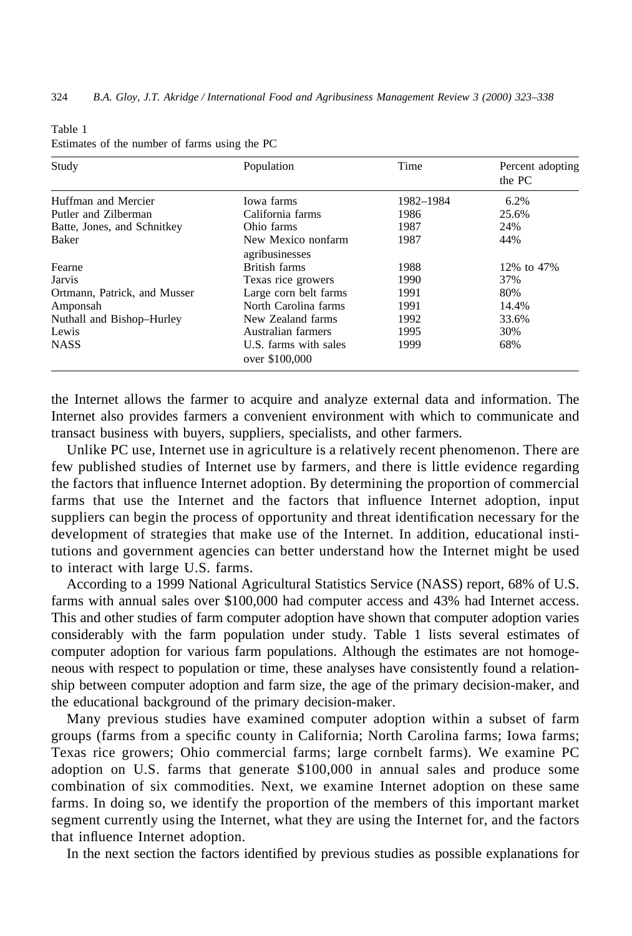|--|--|--|--|

| Study                        | Population                              | Time      | Percent adopting<br>the PC |
|------------------------------|-----------------------------------------|-----------|----------------------------|
| Huffman and Mercier          | Iowa farms                              | 1982-1984 | 6.2%                       |
| Putler and Zilberman         | California farms                        | 1986      | 25.6%                      |
| Batte, Jones, and Schnitkey  | Ohio farms                              | 1987      | 24%                        |
| Baker                        | New Mexico nonfarm<br>agribusinesses    | 1987      | 44%                        |
| Fearne                       | British farms                           | 1988      | 12% to 47%                 |
| Jarvis                       | Texas rice growers                      | 1990      | 37%                        |
| Ortmann, Patrick, and Musser | Large corn belt farms                   | 1991      | 80%                        |
| Amponsah                     | North Carolina farms                    | 1991      | 14.4%                      |
| Nuthall and Bishop-Hurley    | New Zealand farms                       | 1992      | 33.6%                      |
| Lewis                        | Australian farmers                      | 1995      | 30%                        |
| NASS                         | U.S. farms with sales<br>over \$100,000 | 1999      | 68%                        |

Estimates of the number of farms using the PC

the Internet allows the farmer to acquire and analyze external data and information. The Internet also provides farmers a convenient environment with which to communicate and transact business with buyers, suppliers, specialists, and other farmers.

Unlike PC use, Internet use in agriculture is a relatively recent phenomenon. There are few published studies of Internet use by farmers, and there is little evidence regarding the factors that influence Internet adoption. By determining the proportion of commercial farms that use the Internet and the factors that influence Internet adoption, input suppliers can begin the process of opportunity and threat identification necessary for the development of strategies that make use of the Internet. In addition, educational institutions and government agencies can better understand how the Internet might be used to interact with large U.S. farms.

According to a 1999 National Agricultural Statistics Service (NASS) report, 68% of U.S. farms with annual sales over \$100,000 had computer access and 43% had Internet access. This and other studies of farm computer adoption have shown that computer adoption varies considerably with the farm population under study. Table 1 lists several estimates of computer adoption for various farm populations. Although the estimates are not homogeneous with respect to population or time, these analyses have consistently found a relationship between computer adoption and farm size, the age of the primary decision-maker, and the educational background of the primary decision-maker.

Many previous studies have examined computer adoption within a subset of farm groups (farms from a specific county in California; North Carolina farms; Iowa farms; Texas rice growers; Ohio commercial farms; large cornbelt farms). We examine PC adoption on U.S. farms that generate \$100,000 in annual sales and produce some combination of six commodities. Next, we examine Internet adoption on these same farms. In doing so, we identify the proportion of the members of this important market segment currently using the Internet, what they are using the Internet for, and the factors that influence Internet adoption.

In the next section the factors identified by previous studies as possible explanations for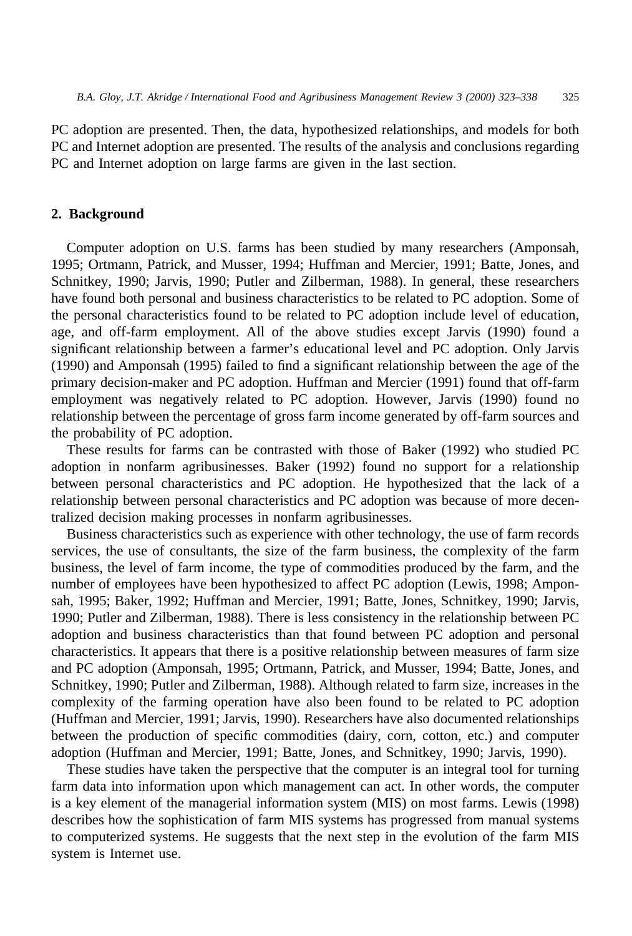PC adoption are presented. Then, the data, hypothesized relationships, and models for both PC and Internet adoption are presented. The results of the analysis and conclusions regarding PC and Internet adoption on large farms are given in the last section.

#### **2. Background**

Computer adoption on U.S. farms has been studied by many researchers (Amponsah, 1995; Ortmann, Patrick, and Musser, 1994; Huffman and Mercier, 1991; Batte, Jones, and Schnitkey, 1990; Jarvis, 1990; Putler and Zilberman, 1988). In general, these researchers have found both personal and business characteristics to be related to PC adoption. Some of the personal characteristics found to be related to PC adoption include level of education, age, and off-farm employment. All of the above studies except Jarvis (1990) found a significant relationship between a farmer's educational level and PC adoption. Only Jarvis (1990) and Amponsah (1995) failed to find a significant relationship between the age of the primary decision-maker and PC adoption. Huffman and Mercier (1991) found that off-farm employment was negatively related to PC adoption. However, Jarvis (1990) found no relationship between the percentage of gross farm income generated by off-farm sources and the probability of PC adoption.

These results for farms can be contrasted with those of Baker (1992) who studied PC adoption in nonfarm agribusinesses. Baker (1992) found no support for a relationship between personal characteristics and PC adoption. He hypothesized that the lack of a relationship between personal characteristics and PC adoption was because of more decentralized decision making processes in nonfarm agribusinesses.

Business characteristics such as experience with other technology, the use of farm records services, the use of consultants, the size of the farm business, the complexity of the farm business, the level of farm income, the type of commodities produced by the farm, and the number of employees have been hypothesized to affect PC adoption (Lewis, 1998; Amponsah, 1995; Baker, 1992; Huffman and Mercier, 1991; Batte, Jones, Schnitkey, 1990; Jarvis, 1990; Putler and Zilberman, 1988). There is less consistency in the relationship between PC adoption and business characteristics than that found between PC adoption and personal characteristics. It appears that there is a positive relationship between measures of farm size and PC adoption (Amponsah, 1995; Ortmann, Patrick, and Musser, 1994; Batte, Jones, and Schnitkey, 1990; Putler and Zilberman, 1988). Although related to farm size, increases in the complexity of the farming operation have also been found to be related to PC adoption (Huffman and Mercier, 1991; Jarvis, 1990). Researchers have also documented relationships between the production of specific commodities (dairy, corn, cotton, etc.) and computer adoption (Huffman and Mercier, 1991; Batte, Jones, and Schnitkey, 1990; Jarvis, 1990).

These studies have taken the perspective that the computer is an integral tool for turning farm data into information upon which management can act. In other words, the computer is a key element of the managerial information system (MIS) on most farms. Lewis (1998) describes how the sophistication of farm MIS systems has progressed from manual systems to computerized systems. He suggests that the next step in the evolution of the farm MIS system is Internet use.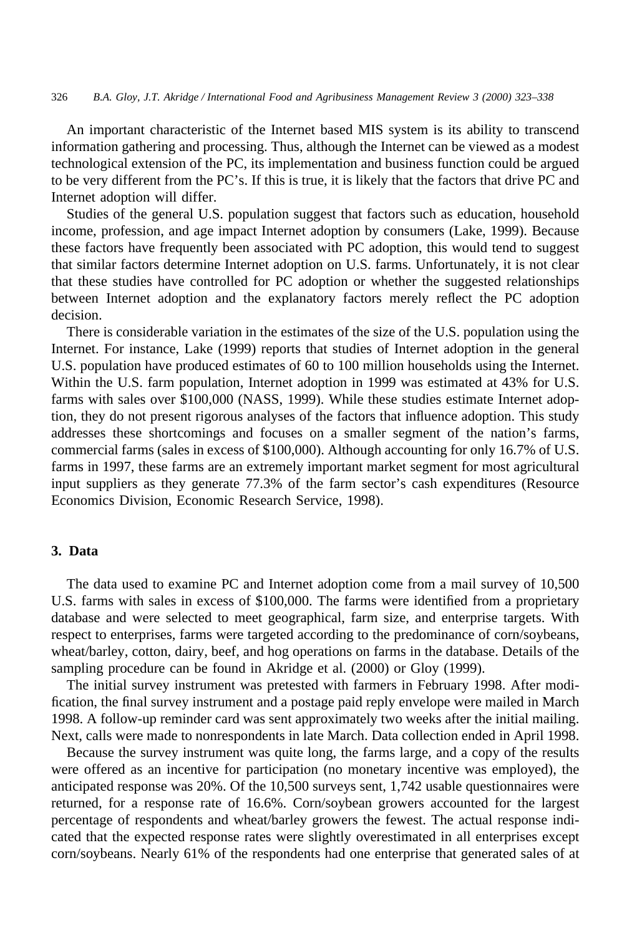An important characteristic of the Internet based MIS system is its ability to transcend information gathering and processing. Thus, although the Internet can be viewed as a modest technological extension of the PC, its implementation and business function could be argued to be very different from the PC's. If this is true, it is likely that the factors that drive PC and Internet adoption will differ.

Studies of the general U.S. population suggest that factors such as education, household income, profession, and age impact Internet adoption by consumers (Lake, 1999). Because these factors have frequently been associated with PC adoption, this would tend to suggest that similar factors determine Internet adoption on U.S. farms. Unfortunately, it is not clear that these studies have controlled for PC adoption or whether the suggested relationships between Internet adoption and the explanatory factors merely reflect the PC adoption decision.

There is considerable variation in the estimates of the size of the U.S. population using the Internet. For instance, Lake (1999) reports that studies of Internet adoption in the general U.S. population have produced estimates of 60 to 100 million households using the Internet. Within the U.S. farm population, Internet adoption in 1999 was estimated at 43% for U.S. farms with sales over \$100,000 (NASS, 1999). While these studies estimate Internet adoption, they do not present rigorous analyses of the factors that influence adoption. This study addresses these shortcomings and focuses on a smaller segment of the nation's farms, commercial farms (sales in excess of \$100,000). Although accounting for only 16.7% of U.S. farms in 1997, these farms are an extremely important market segment for most agricultural input suppliers as they generate 77.3% of the farm sector's cash expenditures (Resource Economics Division, Economic Research Service, 1998).

# **3. Data**

The data used to examine PC and Internet adoption come from a mail survey of 10,500 U.S. farms with sales in excess of \$100,000. The farms were identified from a proprietary database and were selected to meet geographical, farm size, and enterprise targets. With respect to enterprises, farms were targeted according to the predominance of corn/soybeans, wheat/barley, cotton, dairy, beef, and hog operations on farms in the database. Details of the sampling procedure can be found in Akridge et al. (2000) or Gloy (1999).

The initial survey instrument was pretested with farmers in February 1998. After modification, the final survey instrument and a postage paid reply envelope were mailed in March 1998. A follow-up reminder card was sent approximately two weeks after the initial mailing. Next, calls were made to nonrespondents in late March. Data collection ended in April 1998.

Because the survey instrument was quite long, the farms large, and a copy of the results were offered as an incentive for participation (no monetary incentive was employed), the anticipated response was 20%. Of the 10,500 surveys sent, 1,742 usable questionnaires were returned, for a response rate of 16.6%. Corn/soybean growers accounted for the largest percentage of respondents and wheat/barley growers the fewest. The actual response indicated that the expected response rates were slightly overestimated in all enterprises except corn/soybeans. Nearly 61% of the respondents had one enterprise that generated sales of at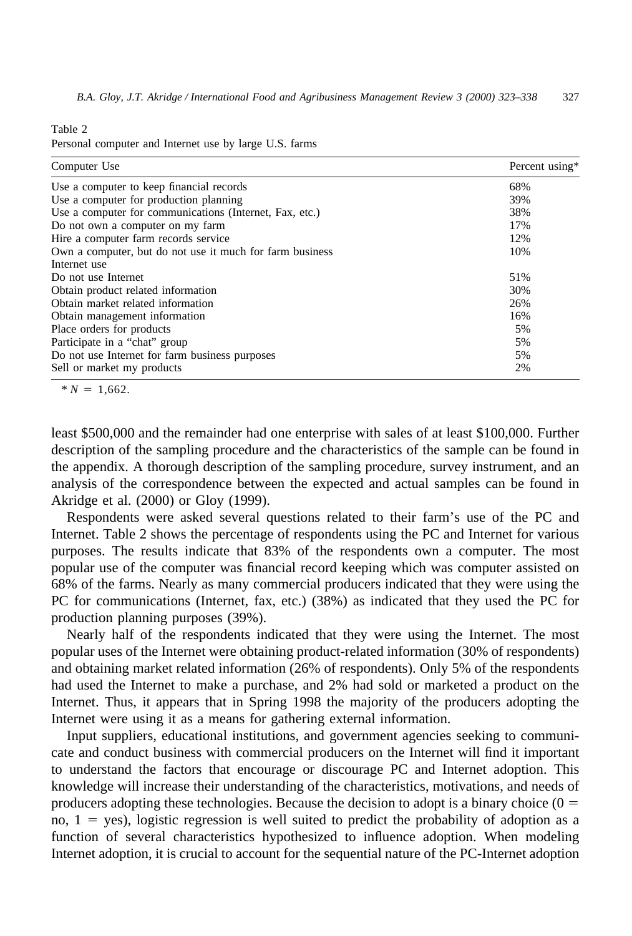Table 2

Personal computer and Internet use by large U.S. farms

| Computer Use                                             | Percent using* |
|----------------------------------------------------------|----------------|
| Use a computer to keep financial records                 | 68%            |
| Use a computer for production planning                   | 39%            |
| Use a computer for communications (Internet, Fax, etc.)  | 38%            |
| Do not own a computer on my farm                         | 17%            |
| Hire a computer farm records service                     | 12%            |
| Own a computer, but do not use it much for farm business | 10%            |
| Internet use                                             |                |
| Do not use Internet                                      | 51%            |
| Obtain product related information                       | 30%            |
| Obtain market related information                        | 26%            |
| Obtain management information                            | 16%            |
| Place orders for products                                | 5%             |
| Participate in a "chat" group                            | 5%             |
| Do not use Internet for farm business purposes           | 5%             |
| Sell or market my products                               | 2%             |

 $* N = 1,662.$ 

least \$500,000 and the remainder had one enterprise with sales of at least \$100,000. Further description of the sampling procedure and the characteristics of the sample can be found in the appendix. A thorough description of the sampling procedure, survey instrument, and an analysis of the correspondence between the expected and actual samples can be found in Akridge et al. (2000) or Gloy (1999).

Respondents were asked several questions related to their farm's use of the PC and Internet. Table 2 shows the percentage of respondents using the PC and Internet for various purposes. The results indicate that 83% of the respondents own a computer. The most popular use of the computer was financial record keeping which was computer assisted on 68% of the farms. Nearly as many commercial producers indicated that they were using the PC for communications (Internet, fax, etc.) (38%) as indicated that they used the PC for production planning purposes (39%).

Nearly half of the respondents indicated that they were using the Internet. The most popular uses of the Internet were obtaining product-related information (30% of respondents) and obtaining market related information (26% of respondents). Only 5% of the respondents had used the Internet to make a purchase, and 2% had sold or marketed a product on the Internet. Thus, it appears that in Spring 1998 the majority of the producers adopting the Internet were using it as a means for gathering external information.

Input suppliers, educational institutions, and government agencies seeking to communicate and conduct business with commercial producers on the Internet will find it important to understand the factors that encourage or discourage PC and Internet adoption. This knowledge will increase their understanding of the characteristics, motivations, and needs of producers adopting these technologies. Because the decision to adopt is a binary choice  $(0 =$  $no, 1 = yes$ ), logistic regression is well suited to predict the probability of adoption as a function of several characteristics hypothesized to influence adoption. When modeling Internet adoption, it is crucial to account for the sequential nature of the PC-Internet adoption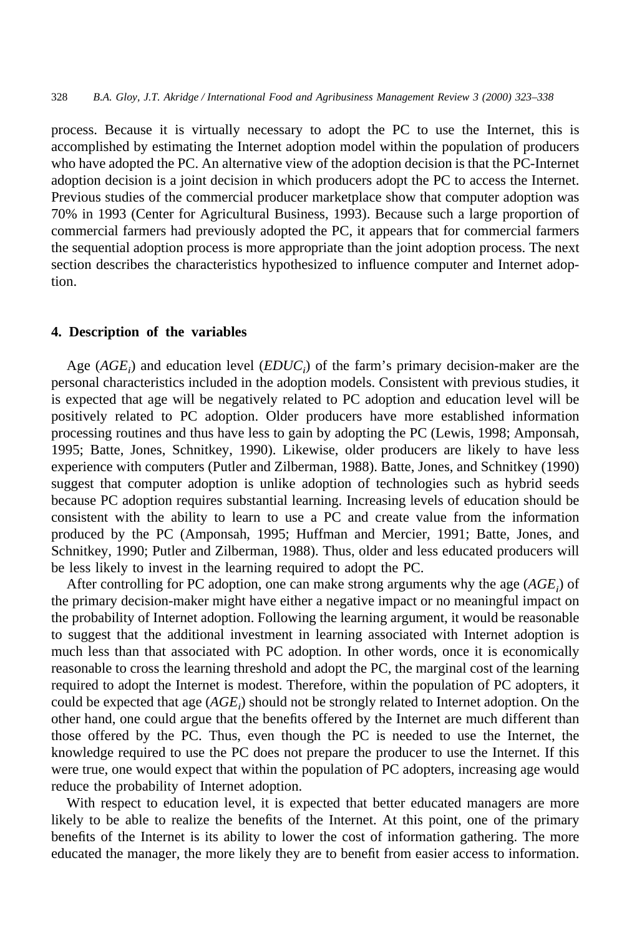process. Because it is virtually necessary to adopt the PC to use the Internet, this is accomplished by estimating the Internet adoption model within the population of producers who have adopted the PC. An alternative view of the adoption decision is that the PC-Internet adoption decision is a joint decision in which producers adopt the PC to access the Internet. Previous studies of the commercial producer marketplace show that computer adoption was 70% in 1993 (Center for Agricultural Business, 1993). Because such a large proportion of commercial farmers had previously adopted the PC, it appears that for commercial farmers the sequential adoption process is more appropriate than the joint adoption process. The next section describes the characteristics hypothesized to influence computer and Internet adoption.

## **4. Description of the variables**

Age  $(AGE<sub>i</sub>)$  and education level  $(EDUC<sub>i</sub>)$  of the farm's primary decision-maker are the personal characteristics included in the adoption models. Consistent with previous studies, it is expected that age will be negatively related to PC adoption and education level will be positively related to PC adoption. Older producers have more established information processing routines and thus have less to gain by adopting the PC (Lewis, 1998; Amponsah, 1995; Batte, Jones, Schnitkey, 1990). Likewise, older producers are likely to have less experience with computers (Putler and Zilberman, 1988). Batte, Jones, and Schnitkey (1990) suggest that computer adoption is unlike adoption of technologies such as hybrid seeds because PC adoption requires substantial learning. Increasing levels of education should be consistent with the ability to learn to use a PC and create value from the information produced by the PC (Amponsah, 1995; Huffman and Mercier, 1991; Batte, Jones, and Schnitkey, 1990; Putler and Zilberman, 1988). Thus, older and less educated producers will be less likely to invest in the learning required to adopt the PC.

After controlling for PC adoption, one can make strong arguments why the age  $(AGE_i)$  of the primary decision-maker might have either a negative impact or no meaningful impact on the probability of Internet adoption. Following the learning argument, it would be reasonable to suggest that the additional investment in learning associated with Internet adoption is much less than that associated with PC adoption. In other words, once it is economically reasonable to cross the learning threshold and adopt the PC, the marginal cost of the learning required to adopt the Internet is modest. Therefore, within the population of PC adopters, it could be expected that age (*AGEi* ) should not be strongly related to Internet adoption. On the other hand, one could argue that the benefits offered by the Internet are much different than those offered by the PC. Thus, even though the PC is needed to use the Internet, the knowledge required to use the PC does not prepare the producer to use the Internet. If this were true, one would expect that within the population of PC adopters, increasing age would reduce the probability of Internet adoption.

With respect to education level, it is expected that better educated managers are more likely to be able to realize the benefits of the Internet. At this point, one of the primary benefits of the Internet is its ability to lower the cost of information gathering. The more educated the manager, the more likely they are to benefit from easier access to information.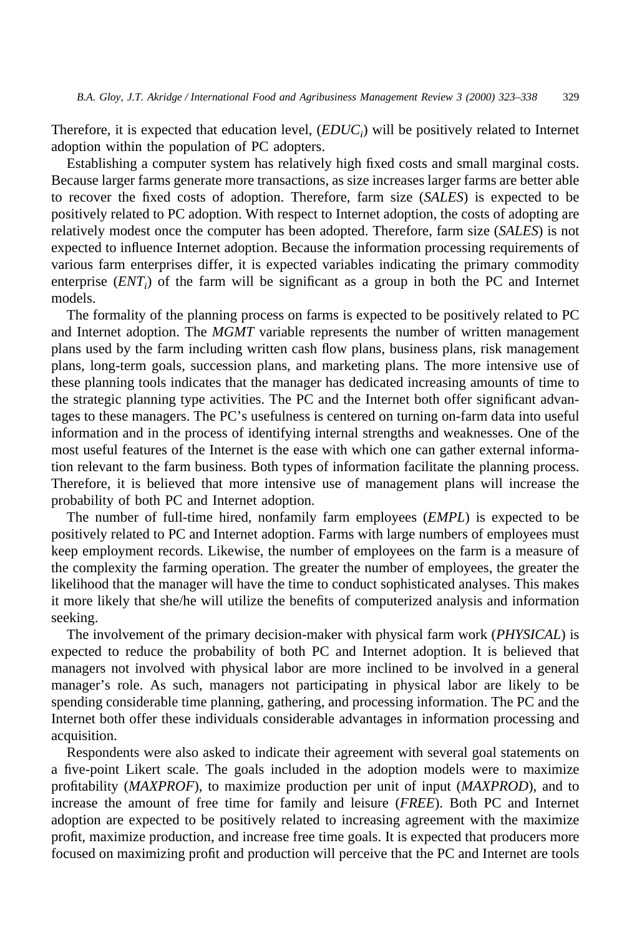Therefore, it is expected that education level,  $(EDUC<sub>i</sub>)$  will be positively related to Internet adoption within the population of PC adopters.

Establishing a computer system has relatively high fixed costs and small marginal costs. Because larger farms generate more transactions, as size increases larger farms are better able to recover the fixed costs of adoption. Therefore, farm size (*SALES*) is expected to be positively related to PC adoption. With respect to Internet adoption, the costs of adopting are relatively modest once the computer has been adopted. Therefore, farm size (*SALES*) is not expected to influence Internet adoption. Because the information processing requirements of various farm enterprises differ, it is expected variables indicating the primary commodity enterprise (*ENT<sub>i</sub>*) of the farm will be significant as a group in both the PC and Internet models.

The formality of the planning process on farms is expected to be positively related to PC and Internet adoption. The *MGMT* variable represents the number of written management plans used by the farm including written cash flow plans, business plans, risk management plans, long-term goals, succession plans, and marketing plans. The more intensive use of these planning tools indicates that the manager has dedicated increasing amounts of time to the strategic planning type activities. The PC and the Internet both offer significant advantages to these managers. The PC's usefulness is centered on turning on-farm data into useful information and in the process of identifying internal strengths and weaknesses. One of the most useful features of the Internet is the ease with which one can gather external information relevant to the farm business. Both types of information facilitate the planning process. Therefore, it is believed that more intensive use of management plans will increase the probability of both PC and Internet adoption.

The number of full-time hired, nonfamily farm employees (*EMPL*) is expected to be positively related to PC and Internet adoption. Farms with large numbers of employees must keep employment records. Likewise, the number of employees on the farm is a measure of the complexity the farming operation. The greater the number of employees, the greater the likelihood that the manager will have the time to conduct sophisticated analyses. This makes it more likely that she/he will utilize the benefits of computerized analysis and information seeking.

The involvement of the primary decision-maker with physical farm work (*PHYSICAL*) is expected to reduce the probability of both PC and Internet adoption. It is believed that managers not involved with physical labor are more inclined to be involved in a general manager's role. As such, managers not participating in physical labor are likely to be spending considerable time planning, gathering, and processing information. The PC and the Internet both offer these individuals considerable advantages in information processing and acquisition.

Respondents were also asked to indicate their agreement with several goal statements on a five-point Likert scale. The goals included in the adoption models were to maximize profitability (*MAXPROF*), to maximize production per unit of input (*MAXPROD*), and to increase the amount of free time for family and leisure (*FREE*). Both PC and Internet adoption are expected to be positively related to increasing agreement with the maximize profit, maximize production, and increase free time goals. It is expected that producers more focused on maximizing profit and production will perceive that the PC and Internet are tools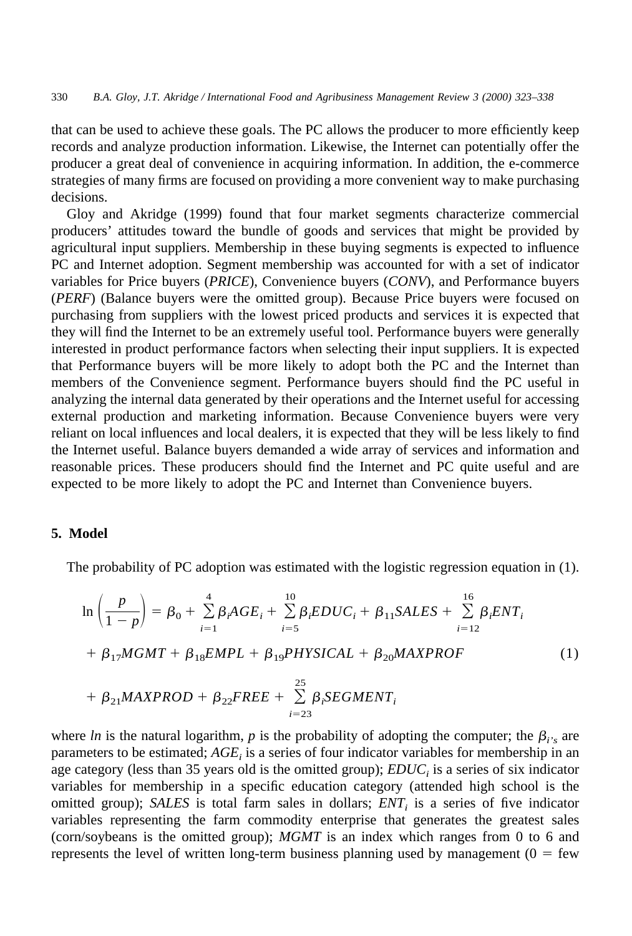that can be used to achieve these goals. The PC allows the producer to more efficiently keep records and analyze production information. Likewise, the Internet can potentially offer the producer a great deal of convenience in acquiring information. In addition, the e-commerce strategies of many firms are focused on providing a more convenient way to make purchasing decisions.

Gloy and Akridge (1999) found that four market segments characterize commercial producers' attitudes toward the bundle of goods and services that might be provided by agricultural input suppliers. Membership in these buying segments is expected to influence PC and Internet adoption. Segment membership was accounted for with a set of indicator variables for Price buyers (*PRICE*), Convenience buyers (*CONV*), and Performance buyers (*PERF*) (Balance buyers were the omitted group). Because Price buyers were focused on purchasing from suppliers with the lowest priced products and services it is expected that they will find the Internet to be an extremely useful tool. Performance buyers were generally interested in product performance factors when selecting their input suppliers. It is expected that Performance buyers will be more likely to adopt both the PC and the Internet than members of the Convenience segment. Performance buyers should find the PC useful in analyzing the internal data generated by their operations and the Internet useful for accessing external production and marketing information. Because Convenience buyers were very reliant on local influences and local dealers, it is expected that they will be less likely to find the Internet useful. Balance buyers demanded a wide array of services and information and reasonable prices. These producers should find the Internet and PC quite useful and are expected to be more likely to adopt the PC and Internet than Convenience buyers.

## **5. Model**

The probability of PC adoption was estimated with the logistic regression equation in (1).

$$
\ln\left(\frac{p}{1-p}\right) = \beta_0 + \sum_{i=1}^{4} \beta_i AGE_i + \sum_{i=5}^{10} \beta_i EDUC_i + \beta_{11} SALES + \sum_{i=12}^{16} \beta_i ENT_i
$$
  
+  $\beta_{17} M G M T + \beta_{18} EMPL + \beta_{19} PHYSICAL + \beta_{20} MAXPROF$  (1)  
+  $\beta_{21} MAXPROD + \beta_{22} FREE + \sum_{i=23}^{25} \beta_i SEGMENT_i$ 

where *ln* is the natural logarithm, *p* is the probability of adopting the computer; the  $\beta_{i's}$  are parameters to be estimated; *AGE<sub>i</sub>* is a series of four indicator variables for membership in an age category (less than 35 years old is the omitted group); *EDUC<sub>i</sub>* is a series of six indicator variables for membership in a specific education category (attended high school is the omitted group); *SALES* is total farm sales in dollars; *ENT<sub>i</sub>* is a series of five indicator variables representing the farm commodity enterprise that generates the greatest sales (corn/soybeans is the omitted group); *MGMT* is an index which ranges from 0 to 6 and represents the level of written long-term business planning used by management  $(0 = few$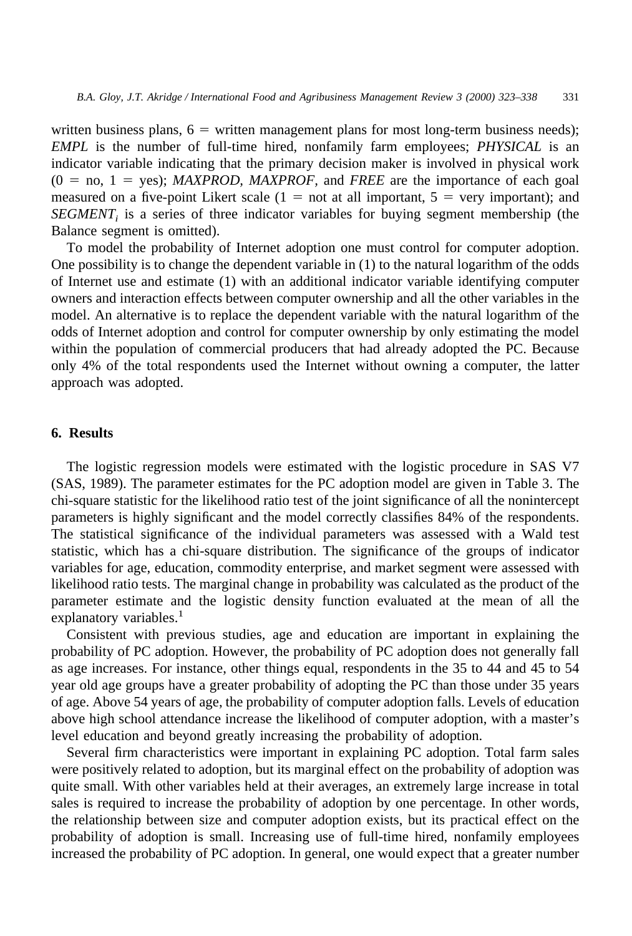written business plans,  $6 =$  written management plans for most long-term business needs); *EMPL* is the number of full-time hired, nonfamily farm employees; *PHYSICAL* is an indicator variable indicating that the primary decision maker is involved in physical work  $(0 = no, 1 = yes)$ ; *MAXPROD, MAXPROF*, and *FREE* are the importance of each goal measured on a five-point Likert scale  $(1 = not at all important, 5 = very important);$  and *SEGMENT<sub>i</sub>* is a series of three indicator variables for buying segment membership (the Balance segment is omitted).

To model the probability of Internet adoption one must control for computer adoption. One possibility is to change the dependent variable in (1) to the natural logarithm of the odds of Internet use and estimate (1) with an additional indicator variable identifying computer owners and interaction effects between computer ownership and all the other variables in the model. An alternative is to replace the dependent variable with the natural logarithm of the odds of Internet adoption and control for computer ownership by only estimating the model within the population of commercial producers that had already adopted the PC. Because only 4% of the total respondents used the Internet without owning a computer, the latter approach was adopted.

#### **6. Results**

The logistic regression models were estimated with the logistic procedure in SAS V7 (SAS, 1989). The parameter estimates for the PC adoption model are given in Table 3. The chi-square statistic for the likelihood ratio test of the joint significance of all the nonintercept parameters is highly significant and the model correctly classifies 84% of the respondents. The statistical significance of the individual parameters was assessed with a Wald test statistic, which has a chi-square distribution. The significance of the groups of indicator variables for age, education, commodity enterprise, and market segment were assessed with likelihood ratio tests. The marginal change in probability was calculated as the product of the parameter estimate and the logistic density function evaluated at the mean of all the explanatory variables. $<sup>1</sup>$ </sup>

Consistent with previous studies, age and education are important in explaining the probability of PC adoption. However, the probability of PC adoption does not generally fall as age increases. For instance, other things equal, respondents in the 35 to 44 and 45 to 54 year old age groups have a greater probability of adopting the PC than those under 35 years of age. Above 54 years of age, the probability of computer adoption falls. Levels of education above high school attendance increase the likelihood of computer adoption, with a master's level education and beyond greatly increasing the probability of adoption.

Several firm characteristics were important in explaining PC adoption. Total farm sales were positively related to adoption, but its marginal effect on the probability of adoption was quite small. With other variables held at their averages, an extremely large increase in total sales is required to increase the probability of adoption by one percentage. In other words, the relationship between size and computer adoption exists, but its practical effect on the probability of adoption is small. Increasing use of full-time hired, nonfamily employees increased the probability of PC adoption. In general, one would expect that a greater number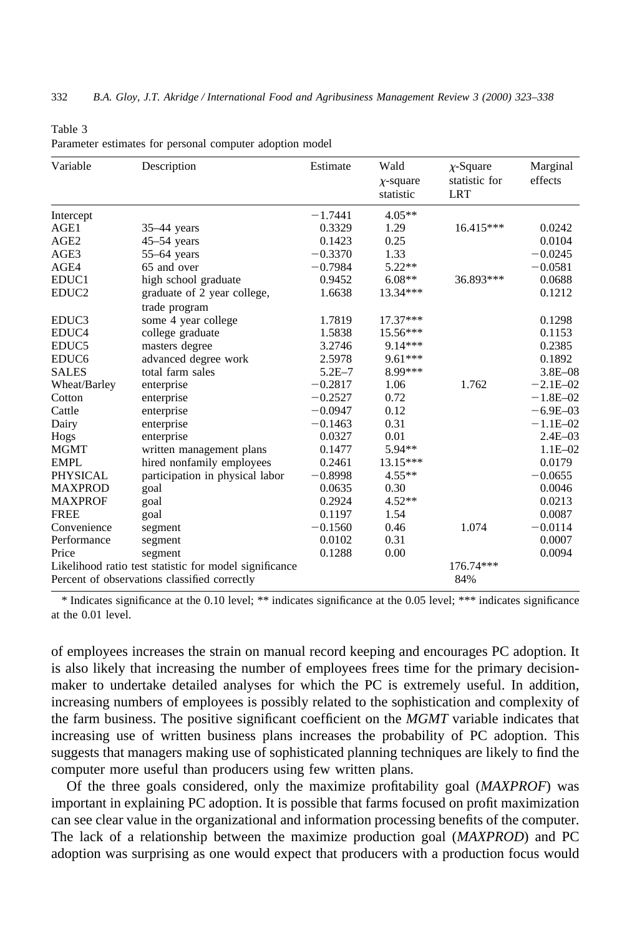| Variable          | Description                                            | Estimate   | Wald<br>$\chi$ -square<br>statistic | $\chi$ -Square<br>statistic for<br><b>LRT</b> | Marginal<br>effects |
|-------------------|--------------------------------------------------------|------------|-------------------------------------|-----------------------------------------------|---------------------|
| Intercept         |                                                        | $-1.7441$  | $4.05**$                            |                                               |                     |
| AGE1              | $35-44$ years                                          | 0.3329     | 1.29                                | 16.415***                                     | 0.0242              |
| AGE2              | $45-54$ years                                          | 0.1423     | 0.25                                |                                               | 0.0104              |
| AGE3              | $55-64$ years                                          | $-0.3370$  | 1.33                                |                                               | $-0.0245$           |
| AGE4              | 65 and over                                            | $-0.7984$  | $5.22**$                            |                                               | $-0.0581$           |
| EDUC1             | high school graduate                                   | 0.9452     | $6.08**$                            | 36.893***                                     | 0.0688              |
| EDUC <sub>2</sub> | graduate of 2 year college,                            | 1.6638     | 13.34***                            |                                               | 0.1212              |
|                   | trade program                                          |            |                                     |                                               |                     |
| EDUC3             | some 4 year college                                    | 1.7819     | 17.37***                            |                                               | 0.1298              |
| EDUC <sub>4</sub> | college graduate                                       | 1.5838     | $15.56***$                          |                                               | 0.1153              |
| EDUC <sub>5</sub> | masters degree                                         | 3.2746     | 9.14***                             |                                               | 0.2385              |
| EDUC <sub>6</sub> | advanced degree work                                   | 2.5978     | $9.61***$                           |                                               | 0.1892              |
| <b>SALES</b>      | total farm sales                                       | $5.2E - 7$ | 8.99***                             |                                               | 3.8E-08             |
| Wheat/Barley      | enterprise                                             | $-0.2817$  | 1.06                                | 1.762                                         | $-2.1E - 02$        |
| Cotton            | enterprise                                             | $-0.2527$  | 0.72                                |                                               | $-1.8E - 02$        |
| Cattle            | enterprise                                             | $-0.0947$  | 0.12                                |                                               | $-6.9E - 03$        |
| Dairy             | enterprise                                             | $-0.1463$  | 0.31                                |                                               | $-1.1E - 02$        |
| Hogs              | enterprise                                             | 0.0327     | 0.01                                |                                               | $2.4E - 03$         |
| MGMT              | written management plans                               | 0.1477     | 5.94**                              |                                               | $1.1E - 02$         |
| <b>EMPL</b>       | hired nonfamily employees                              | 0.2461     | $13.15***$                          |                                               | 0.0179              |
| PHYSICAL          | participation in physical labor                        | $-0.8998$  | $4.55**$                            |                                               | $-0.0655$           |
| MAXPROD           | goal                                                   | 0.0635     | 0.30                                |                                               | 0.0046              |
| <b>MAXPROF</b>    | goal                                                   | 0.2924     | $4.52**$                            |                                               | 0.0213              |
| <b>FREE</b>       | goal                                                   | 0.1197     | 1.54                                |                                               | 0.0087              |
| Convenience       | segment                                                | $-0.1560$  | 0.46                                | 1.074                                         | $-0.0114$           |
| Performance       | segment                                                | 0.0102     | 0.31                                |                                               | 0.0007              |
| Price             | segment                                                | 0.1288     | 0.00                                |                                               | 0.0094              |
|                   | Likelihood ratio test statistic for model significance |            |                                     | 176.74***                                     |                     |
|                   | Percent of observations classified correctly           |            |                                     | 84%                                           |                     |

Parameter estimates for personal computer adoption model

Table 3

\* Indicates significance at the 0.10 level; \*\* indicates significance at the 0.05 level; \*\*\* indicates significance at the 0.01 level.

of employees increases the strain on manual record keeping and encourages PC adoption. It is also likely that increasing the number of employees frees time for the primary decisionmaker to undertake detailed analyses for which the PC is extremely useful. In addition, increasing numbers of employees is possibly related to the sophistication and complexity of the farm business. The positive significant coefficient on the *MGMT* variable indicates that increasing use of written business plans increases the probability of PC adoption. This suggests that managers making use of sophisticated planning techniques are likely to find the computer more useful than producers using few written plans.

Of the three goals considered, only the maximize profitability goal (*MAXPROF*) was important in explaining PC adoption. It is possible that farms focused on profit maximization can see clear value in the organizational and information processing benefits of the computer. The lack of a relationship between the maximize production goal (*MAXPROD*) and PC adoption was surprising as one would expect that producers with a production focus would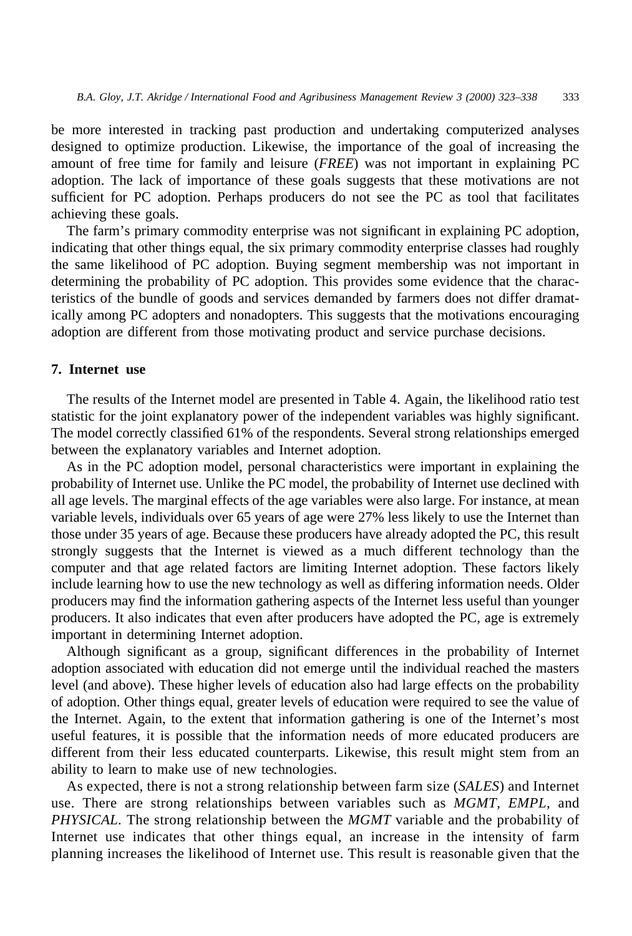be more interested in tracking past production and undertaking computerized analyses designed to optimize production. Likewise, the importance of the goal of increasing the amount of free time for family and leisure (*FREE*) was not important in explaining PC adoption. The lack of importance of these goals suggests that these motivations are not sufficient for PC adoption. Perhaps producers do not see the PC as tool that facilitates achieving these goals.

The farm's primary commodity enterprise was not significant in explaining PC adoption, indicating that other things equal, the six primary commodity enterprise classes had roughly the same likelihood of PC adoption. Buying segment membership was not important in determining the probability of PC adoption. This provides some evidence that the characteristics of the bundle of goods and services demanded by farmers does not differ dramatically among PC adopters and nonadopters. This suggests that the motivations encouraging adoption are different from those motivating product and service purchase decisions.

### **7. Internet use**

The results of the Internet model are presented in Table 4. Again, the likelihood ratio test statistic for the joint explanatory power of the independent variables was highly significant. The model correctly classified 61% of the respondents. Several strong relationships emerged between the explanatory variables and Internet adoption.

As in the PC adoption model, personal characteristics were important in explaining the probability of Internet use. Unlike the PC model, the probability of Internet use declined with all age levels. The marginal effects of the age variables were also large. For instance, at mean variable levels, individuals over 65 years of age were 27% less likely to use the Internet than those under 35 years of age. Because these producers have already adopted the PC, this result strongly suggests that the Internet is viewed as a much different technology than the computer and that age related factors are limiting Internet adoption. These factors likely include learning how to use the new technology as well as differing information needs. Older producers may find the information gathering aspects of the Internet less useful than younger producers. It also indicates that even after producers have adopted the PC, age is extremely important in determining Internet adoption.

Although significant as a group, significant differences in the probability of Internet adoption associated with education did not emerge until the individual reached the masters level (and above). These higher levels of education also had large effects on the probability of adoption. Other things equal, greater levels of education were required to see the value of the Internet. Again, to the extent that information gathering is one of the Internet's most useful features, it is possible that the information needs of more educated producers are different from their less educated counterparts. Likewise, this result might stem from an ability to learn to make use of new technologies.

As expected, there is not a strong relationship between farm size (*SALES*) and Internet use. There are strong relationships between variables such as *MGMT, EMPL,* and *PHYSICAL.* The strong relationship between the *MGMT* variable and the probability of Internet use indicates that other things equal, an increase in the intensity of farm planning increases the likelihood of Internet use. This result is reasonable given that the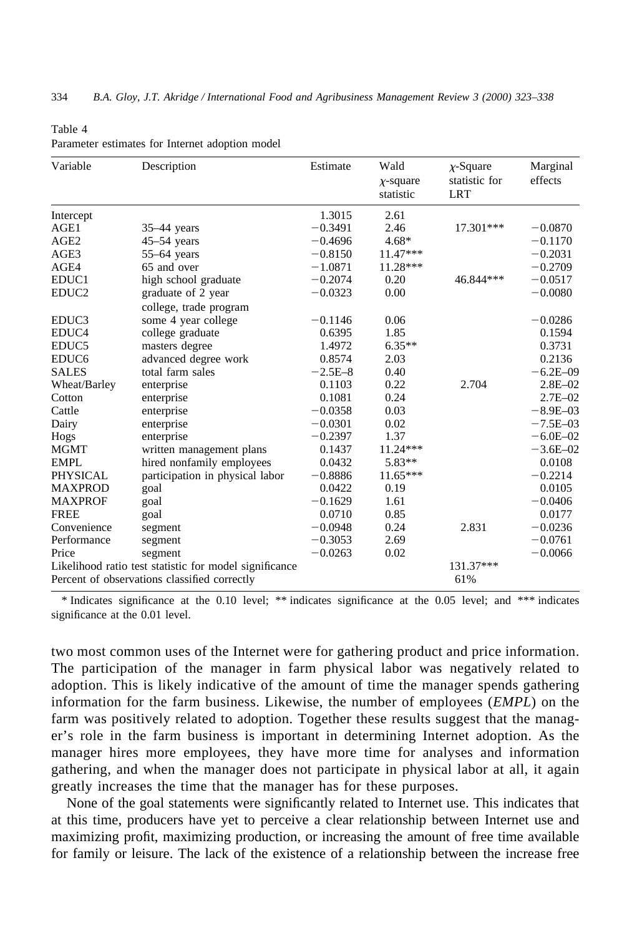|--|--|

| Variable                                     | Description                                            | Estimate  | Wald<br>$\chi$ -square<br>statistic | $\chi$ -Square<br>statistic for<br><b>LRT</b> | Marginal<br>effects |
|----------------------------------------------|--------------------------------------------------------|-----------|-------------------------------------|-----------------------------------------------|---------------------|
| Intercept                                    |                                                        | 1.3015    | 2.61                                |                                               |                     |
| AGE1                                         | 35-44 years                                            | $-0.3491$ | 2.46                                | 17.301***                                     | $-0.0870$           |
| AGE2                                         | $45-54$ years                                          | $-0.4696$ | $4.68*$                             |                                               | $-0.1170$           |
| AGE3                                         | $55-64$ years                                          | $-0.8150$ | 11.47***                            |                                               | $-0.2031$           |
| AGE4                                         | 65 and over                                            | $-1.0871$ | 11.28***                            |                                               | $-0.2709$           |
| EDUC1                                        | high school graduate                                   | $-0.2074$ | 0.20                                | 46.844 ***                                    | $-0.0517$           |
| EDUC <sub>2</sub>                            | graduate of 2 year                                     | $-0.0323$ | 0.00                                |                                               | $-0.0080$           |
|                                              | college, trade program                                 |           |                                     |                                               |                     |
| EDUC3                                        | some 4 year college                                    | $-0.1146$ | 0.06                                |                                               | $-0.0286$           |
| EDUC <sub>4</sub>                            | college graduate                                       | 0.6395    | 1.85                                |                                               | 0.1594              |
| EDUC <sub>5</sub>                            | masters degree                                         | 1.4972    | $6.35**$                            |                                               | 0.3731              |
| EDUC <sub>6</sub>                            | advanced degree work                                   | 0.8574    | 2.03                                |                                               | 0.2136              |
| <b>SALES</b>                                 | total farm sales                                       | $-2.5E-8$ | 0.40                                |                                               | $-6.2E - 09$        |
| Wheat/Barley                                 | enterprise                                             | 0.1103    | 0.22                                | 2.704                                         | $2.8E - 02$         |
| Cotton                                       | enterprise                                             | 0.1081    | 0.24                                |                                               | $2.7E - 02$         |
| Cattle                                       | enterprise                                             | $-0.0358$ | 0.03                                |                                               | $-8.9E - 03$        |
| Dairy                                        | enterprise                                             | $-0.0301$ | 0.02                                |                                               | $-7.5E - 03$        |
| Hogs                                         | enterprise                                             | $-0.2397$ | 1.37                                |                                               | $-6.0E - 02$        |
| MGMT                                         | written management plans                               | 0.1437    | 11.24 ***                           |                                               | $-3.6E - 02$        |
| <b>EMPL</b>                                  | hired nonfamily employees                              | 0.0432    | 5.83**                              |                                               | 0.0108              |
| <b>PHYSICAL</b>                              | participation in physical labor                        | $-0.8886$ | $11.65***$                          |                                               | $-0.2214$           |
| <b>MAXPROD</b>                               | goal                                                   | 0.0422    | 0.19                                |                                               | 0.0105              |
| <b>MAXPROF</b>                               | goal                                                   | $-0.1629$ | 1.61                                |                                               | $-0.0406$           |
| <b>FREE</b>                                  | goal                                                   | 0.0710    | 0.85                                |                                               | 0.0177              |
| Convenience                                  | segment                                                | $-0.0948$ | 0.24                                | 2.831                                         | $-0.0236$           |
| Performance                                  | segment                                                | $-0.3053$ | 2.69                                |                                               | $-0.0761$           |
| Price                                        | segment                                                | $-0.0263$ | 0.02                                |                                               | $-0.0066$           |
|                                              | Likelihood ratio test statistic for model significance |           |                                     | 131.37***                                     |                     |
| Percent of observations classified correctly |                                                        |           | 61%                                 |                                               |                     |

Parameter estimates for Internet adoption model

\* Indicates significance at the 0.10 level; \*\* indicates significance at the 0.05 level; and \*\*\* indicates significance at the 0.01 level.

two most common uses of the Internet were for gathering product and price information. The participation of the manager in farm physical labor was negatively related to adoption. This is likely indicative of the amount of time the manager spends gathering information for the farm business. Likewise, the number of employees (*EMPL*) on the farm was positively related to adoption. Together these results suggest that the manager's role in the farm business is important in determining Internet adoption. As the manager hires more employees, they have more time for analyses and information gathering, and when the manager does not participate in physical labor at all, it again greatly increases the time that the manager has for these purposes.

None of the goal statements were significantly related to Internet use. This indicates that at this time, producers have yet to perceive a clear relationship between Internet use and maximizing profit, maximizing production, or increasing the amount of free time available for family or leisure. The lack of the existence of a relationship between the increase free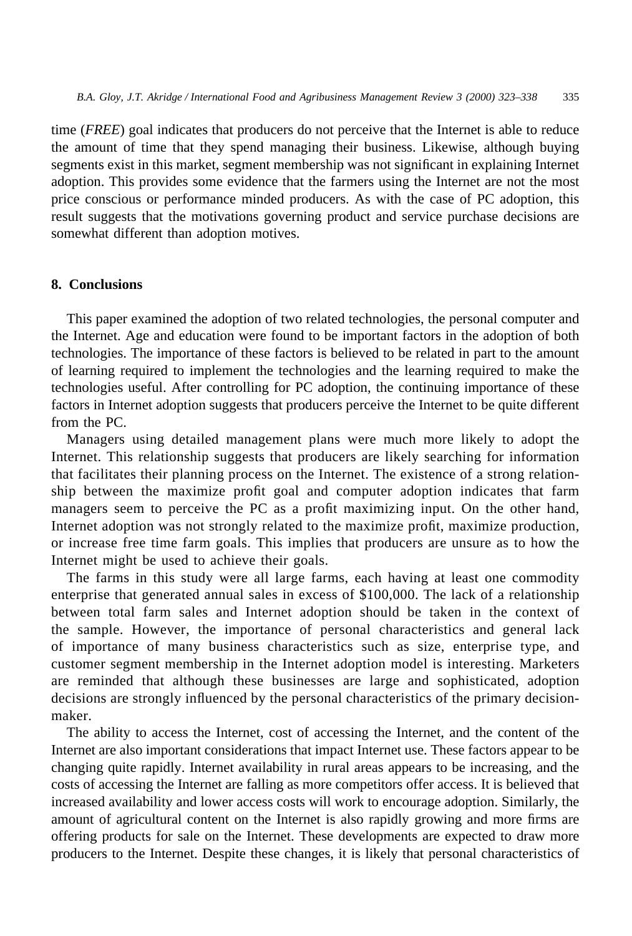time (*FREE*) goal indicates that producers do not perceive that the Internet is able to reduce the amount of time that they spend managing their business. Likewise, although buying segments exist in this market, segment membership was not significant in explaining Internet adoption. This provides some evidence that the farmers using the Internet are not the most price conscious or performance minded producers. As with the case of PC adoption, this result suggests that the motivations governing product and service purchase decisions are somewhat different than adoption motives.

## **8. Conclusions**

This paper examined the adoption of two related technologies, the personal computer and the Internet. Age and education were found to be important factors in the adoption of both technologies. The importance of these factors is believed to be related in part to the amount of learning required to implement the technologies and the learning required to make the technologies useful. After controlling for PC adoption, the continuing importance of these factors in Internet adoption suggests that producers perceive the Internet to be quite different from the PC.

Managers using detailed management plans were much more likely to adopt the Internet. This relationship suggests that producers are likely searching for information that facilitates their planning process on the Internet. The existence of a strong relationship between the maximize profit goal and computer adoption indicates that farm managers seem to perceive the PC as a profit maximizing input. On the other hand, Internet adoption was not strongly related to the maximize profit, maximize production, or increase free time farm goals. This implies that producers are unsure as to how the Internet might be used to achieve their goals.

The farms in this study were all large farms, each having at least one commodity enterprise that generated annual sales in excess of \$100,000. The lack of a relationship between total farm sales and Internet adoption should be taken in the context of the sample. However, the importance of personal characteristics and general lack of importance of many business characteristics such as size, enterprise type, and customer segment membership in the Internet adoption model is interesting. Marketers are reminded that although these businesses are large and sophisticated, adoption decisions are strongly influenced by the personal characteristics of the primary decisionmaker.

The ability to access the Internet, cost of accessing the Internet, and the content of the Internet are also important considerations that impact Internet use. These factors appear to be changing quite rapidly. Internet availability in rural areas appears to be increasing, and the costs of accessing the Internet are falling as more competitors offer access. It is believed that increased availability and lower access costs will work to encourage adoption. Similarly, the amount of agricultural content on the Internet is also rapidly growing and more firms are offering products for sale on the Internet. These developments are expected to draw more producers to the Internet. Despite these changes, it is likely that personal characteristics of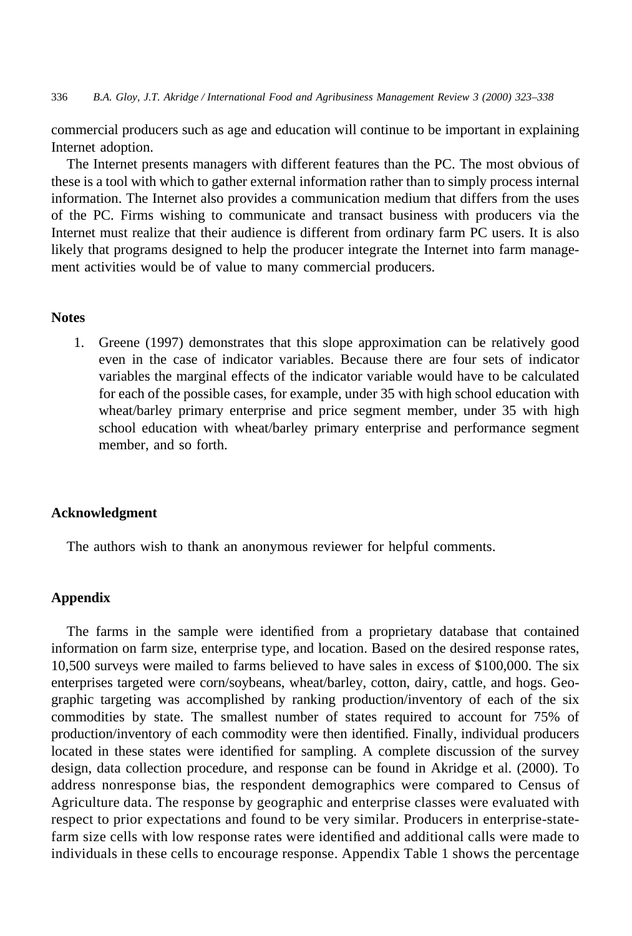commercial producers such as age and education will continue to be important in explaining Internet adoption.

The Internet presents managers with different features than the PC. The most obvious of these is a tool with which to gather external information rather than to simply process internal information. The Internet also provides a communication medium that differs from the uses of the PC. Firms wishing to communicate and transact business with producers via the Internet must realize that their audience is different from ordinary farm PC users. It is also likely that programs designed to help the producer integrate the Internet into farm management activities would be of value to many commercial producers.

## **Notes**

1. Greene (1997) demonstrates that this slope approximation can be relatively good even in the case of indicator variables. Because there are four sets of indicator variables the marginal effects of the indicator variable would have to be calculated for each of the possible cases, for example, under 35 with high school education with wheat/barley primary enterprise and price segment member, under 35 with high school education with wheat/barley primary enterprise and performance segment member, and so forth.

# **Acknowledgment**

The authors wish to thank an anonymous reviewer for helpful comments.

# **Appendix**

The farms in the sample were identified from a proprietary database that contained information on farm size, enterprise type, and location. Based on the desired response rates, 10,500 surveys were mailed to farms believed to have sales in excess of \$100,000. The six enterprises targeted were corn/soybeans, wheat/barley, cotton, dairy, cattle, and hogs. Geographic targeting was accomplished by ranking production/inventory of each of the six commodities by state. The smallest number of states required to account for 75% of production/inventory of each commodity were then identified. Finally, individual producers located in these states were identified for sampling. A complete discussion of the survey design, data collection procedure, and response can be found in Akridge et al. (2000). To address nonresponse bias, the respondent demographics were compared to Census of Agriculture data. The response by geographic and enterprise classes were evaluated with respect to prior expectations and found to be very similar. Producers in enterprise-statefarm size cells with low response rates were identified and additional calls were made to individuals in these cells to encourage response. Appendix Table 1 shows the percentage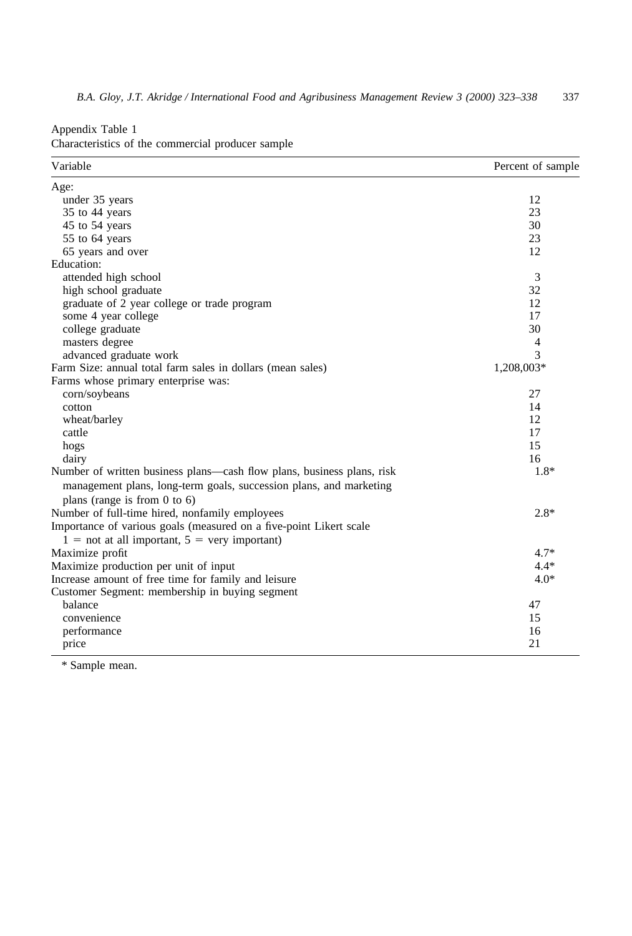*B.A. Gloy, J.T. Akridge / International Food and Agribusiness Management Review 3 (2000) 323–338* 337

Appendix Table 1

| Characteristics of the commercial producer sample |  |
|---------------------------------------------------|--|
|---------------------------------------------------|--|

| Variable                                                               | Percent of sample |
|------------------------------------------------------------------------|-------------------|
| Age:                                                                   |                   |
| under 35 years                                                         | 12                |
| 35 to 44 years                                                         | 23                |
| 45 to 54 years                                                         | 30                |
| 55 to 64 years                                                         | 23                |
| 65 years and over                                                      | 12                |
| Education:                                                             |                   |
| attended high school                                                   | 3                 |
| high school graduate                                                   | 32                |
| graduate of 2 year college or trade program                            | 12                |
| some 4 year college                                                    | 17                |
| college graduate                                                       | 30                |
| masters degree                                                         | $\overline{4}$    |
| advanced graduate work                                                 | 3                 |
| Farm Size: annual total farm sales in dollars (mean sales)             | 1,208,003*        |
| Farms whose primary enterprise was:                                    |                   |
| corn/soybeans                                                          | 27                |
| cotton                                                                 | 14                |
| wheat/barley                                                           | 12                |
| cattle                                                                 | 17                |
| hogs                                                                   | 15                |
| dairy                                                                  | 16                |
| Number of written business plans—cash flow plans, business plans, risk | $1.8*$            |
| management plans, long-term goals, succession plans, and marketing     |                   |
| plans (range is from $0$ to $6$ )                                      |                   |
| Number of full-time hired, nonfamily employees                         | $2.8*$            |
| Importance of various goals (measured on a five-point Likert scale     |                   |
| $1 =$ not at all important, $5 =$ very important)                      |                   |
| Maximize profit                                                        | $4.7*$            |
| Maximize production per unit of input                                  | $4.4*$            |
| Increase amount of free time for family and leisure                    | $4.0*$            |
| Customer Segment: membership in buying segment                         |                   |
| balance                                                                | 47                |
| convenience                                                            | 15                |
| performance                                                            | 16                |
| price                                                                  | 21                |
|                                                                        |                   |

\* Sample mean.